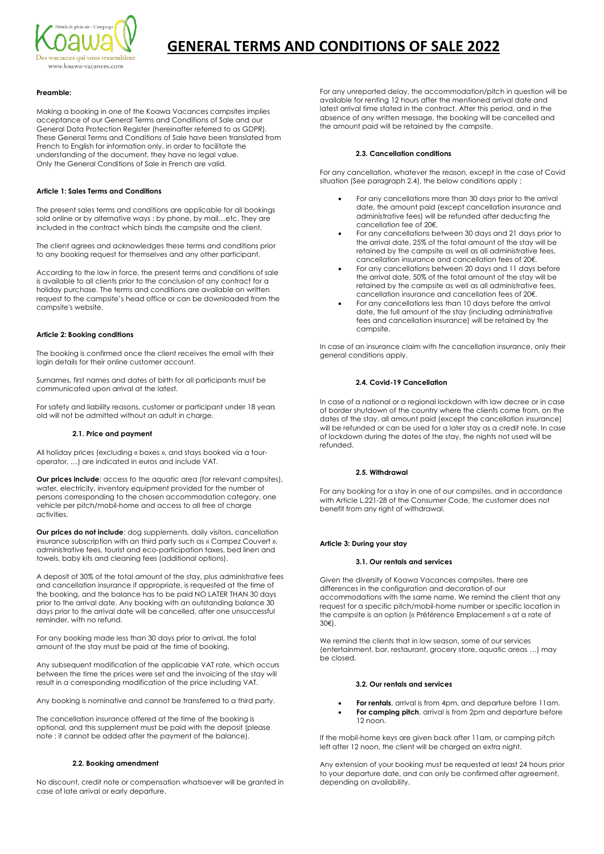

# **GENERAL TERMS AND CONDITIONS OF SALE 2022**

#### **Preamble:**

Making a booking in one of the Koawa Vacances campsites implies acceptance of our General Terms and Conditions of Sale and our General Data Protection Register (hereinafter referred to as GDPR). These General Terms and Conditions of Sale have been translated from French to English for information only, in order to facilitate the understanding of the document, they have no legal value. Only the General Conditions of Sale in French are valid.

#### **Article 1: Sales Terms and Conditions**

The present sales terms and conditions are applicable for all bookings sold online or by alternative ways : by phone, by mail…etc. They are included in the contract which binds the campsite and the client.

The client agrees and acknowledges these terms and conditions prior to any booking request for themselves and any other participant.

According to the law in force, the present terms and conditions of sale is available to all clients prior to the conclusion of any contract for a holiday purchase. The terms and conditions are available on written request to the campsite's head office or can be downloaded from the campsite's website.

#### **Article 2: Booking conditions**

The booking is confirmed once the client receives the email with their login details for their online customer account.

Surnames, first names and dates of birth for all participants must be communicated upon arrival at the latest.

For safety and liability reasons, customer or participant under 18 years old will not be admitted without an adult in charge.

#### **2.1. Price and payment**

All holiday prices (excluding « boxes », and stays booked via a touroperator, …) are indicated in euros and include VAT.

**Our prices include:** access to the aquatic area (for relevant campsites), water, electricity, inventory equipment provided for the number of persons corresponding to the chosen accommodation category, one vehicle per pitch/mobil-home and access to all free of charge activities.

**Our prices do not include**: dog supplements, daily visitors, cancellation insurance subscription with an third party such as « Campez Couvert », administrative fees, tourist and eco-participation taxes, bed linen and towels, baby kits and cleaning fees (additional options).

A deposit of 30% of the total amount of the stay, plus administrative fees and cancellation insurance if appropriate, is requested at the time of the booking, and the balance has to be paid NO LATER THAN 30 days prior to the arrival date. Any booking with an outstanding balance 30 days prior to the arrival date will be cancelled, after one unsuccessful reminder, with no refund.

For any booking made less than 30 days prior to arrival, the total amount of the stay must be paid at the time of booking.

Any subsequent modification of the applicable VAT rate, which occurs between the time the prices were set and the invoicing of the stay will result in a corresponding modification of the price including VAT.

Any booking is nominative and cannot be transferred to a third party.

The cancellation insurance offered at the time of the booking is optional, and this supplement must be paid with the deposit (please note : it cannot be added after the payment of the balance).

# **2.2. Booking amendment**

No discount, credit note or compensation whatsoever will be granted in case of late arrival or early departure.

For any unreported delay, the accommodation/pitch in question will be available for renting 12 hours after the mentioned arrival date and latest arrival time stated in the contract. After this period, and in the absence of any written message, the booking will be cancelled and the amount paid will be retained by the campsite.

# **2.3. Cancellation conditions**

For any cancellation, whatever the reason, except in the case of Covid situation (See paragraph 2.4), the below conditions apply :

- For any cancellations more than 30 days prior to the arrival date, the amount paid (except cancellation insurance and administrative fees) will be refunded after deducting the cancellation fee of 20€.
- For any cancellations between 30 days and 21 days prior to the arrival date, 25% of the total amount of the stay will be retained by the campsite as well as all administrative fees, cancellation insurance and cancellation fees of 20€.
- For any cancellations between 20 days and 11 days before the arrival date, 50% of the total amount of the stay will be retained by the campsite as well as all administrative fees, cancellation insurance and cancellation fees of 20€.
- For any cancellations less than 10 days before the arrival date, the full amount of the stay (including administrative fees and cancellation insurance) will be retained by the campsite.

In case of an insurance claim with the cancellation insurance, only their general conditions apply.

# **2.4. Covid-19 Cancellation**

In case of a national or a regional lockdown with law decree or in case of border shutdown of the country where the clients come from, on the dates of the stay, all amount paid (except the cancellation insurance) will be refunded or can be used for a later stay as a credit note. In case of lockdown during the dates of the stay, the nights not used will be refunded.

# **2.5. Withdrawal**

For any booking for a stay in one of our campsites, and in accordance with Article L.221-28 of the Consumer Code, the customer does not benefit from any right of withdrawal.

#### **Article 3: During your stay**

# **3.1. Our rentals and services**

Given the diversity of Koawa Vacances campsites, there are differences in the configuration and decoration of our accommodations with the same name. We remind the client that any request for a specific pitch/mobil-home number or specific location in the campsite is an option (« Préférence Emplacement » at a rate of 30€).

We remind the clients that in low season, some of our services (entertainment, bar, restaurant, grocery store, aquatic areas …) may be closed.

#### **3.2. Our rentals and services**

- **For rentals**, arrival is from 4pm, and departure before 11am. For camping pitch, arrival is from 2pm and departure before
- 12 noon.

If the mobil-home keys are given back after 11am, or camping pitch left after 12 noon, the client will be charged an extra night.

Any extension of your booking must be requested at least 24 hours prior to your departure date, and can only be confirmed after agreement, depending on availability.